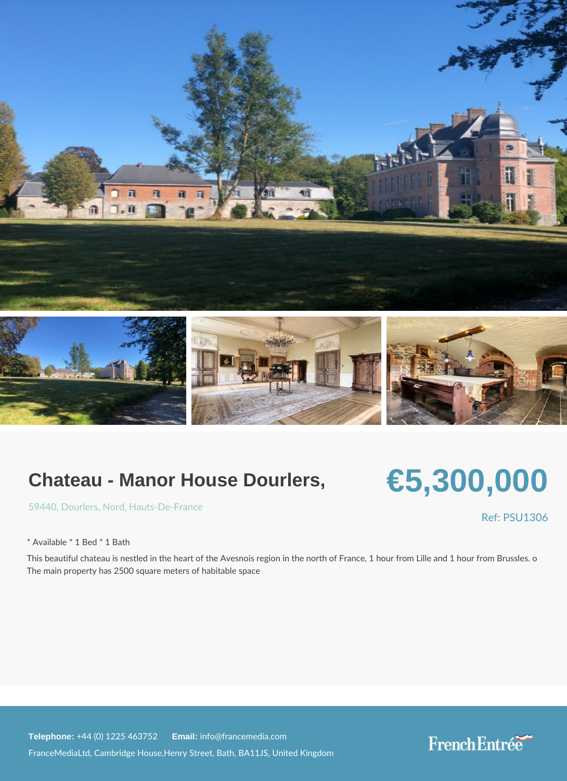## Chateau - Manor House Dourlers,

## €5,300,000

[5944](https://www.frenchentree.com/property-for-sale/property-for-sale-france/59440-xx-dourlers-xx-nord-xx-hauts-de-france), **DourleNs r**[, Hauts-De-F](https://www.frenchentree.com/property-for-sale/property-for-sale-france/hauts-de-france)rance

\* Available \* 1 Bed \* 1 Bath

This beautiful chateau is nestled in the heart of the Avesnois region in the north od Fra The main property has 2500 square meters of habitable space

Telephone:  $+44$  (0) 1225 46 Ematilian fo@francemedia.com

FranceMediaLtd, Cambridge House,Henry Street, Bath, BA11JS, United Kingdom

Ref: PSU13